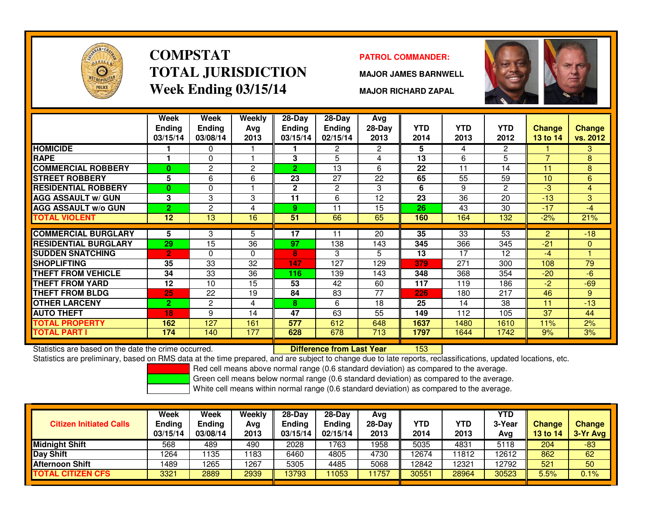

### **COMPSTATTOTAL JURISDICTIONWeek Ending 03/15/14**

### **PATROL COMMANDER:**

**MAJOR JAMES BARNWELL**



**MAJOR RICHARD ZAPAL**

|                                                      | Week<br><b>Ending</b><br>03/15/14 | Week<br><b>Ending</b><br>03/08/14 | Weekly<br>Avg<br>2013 | 28-Day<br><b>Endina</b><br>03/15/14 | 28-Day<br><b>Ending</b><br>02/15/14 | Avg<br>28-Day<br>2013 | <b>YTD</b><br>2014 | <b>YTD</b><br>2013 | <b>YTD</b><br>2012 | Change<br>13 to 14 | <b>Change</b><br>vs. 2012 |
|------------------------------------------------------|-----------------------------------|-----------------------------------|-----------------------|-------------------------------------|-------------------------------------|-----------------------|--------------------|--------------------|--------------------|--------------------|---------------------------|
| <b>HOMICIDE</b>                                      |                                   | 0                                 |                       |                                     | 2                                   | $\mathbf{2}^{\prime}$ | 5                  | 4                  | $\overline{2}$     |                    | 3                         |
| <b>RAPE</b>                                          |                                   | $\Omega$                          |                       | 3                                   | 5                                   | 4                     | 13                 | 6                  | 5                  | $\overline{7}$     | 8                         |
| <b>COMMERCIAL ROBBERY</b>                            | 0                                 | 2                                 | 2                     | $\overline{2}$                      | 13                                  | 6                     | 22                 | 11                 | 14                 | 11                 | 8                         |
| <b>STREET ROBBERY</b>                                | 5                                 | 6                                 | 6                     | 23                                  | 27                                  | 22                    | 65                 | 55                 | 59                 | 10                 | 6                         |
| <b>RESIDENTIAL ROBBERY</b>                           | $\mathbf{0}$                      | $\Omega$                          |                       | $\mathbf{2}$                        | 2                                   | 3                     | 6                  | 9                  | $\overline{2}$     | $-3$               | $\overline{4}$            |
| <b>AGG ASSAULT w/ GUN</b>                            | 3                                 | 3                                 | 3                     | 11                                  | 6                                   | 12                    | 23                 | 36                 | 20                 | $-13$              | 3                         |
| <b>AGG ASSAULT w/o GUN</b>                           | $\overline{2}$                    | $\overline{2}$                    | 4                     | 9                                   | 11                                  | 15                    | 26                 | 43                 | 30                 | $-17$              | $-4$                      |
| <b>TOTAL VIOLENT</b>                                 | $\overline{12}$                   | 13                                | 16                    | 51                                  | 66                                  | 65                    | 160                | 164                | 132                | $-2%$              | 21%                       |
|                                                      |                                   |                                   |                       |                                     |                                     |                       |                    |                    |                    |                    |                           |
| <b>COMMERCIAL BURGLARY</b>                           | 5                                 | 3                                 | 5                     | 17                                  | 11                                  | 20                    | 35                 | 33                 | 53                 | 2                  | $-18$                     |
| <b>RESIDENTIAL BURGLARY</b>                          | 29                                | 15                                | 36                    | 97                                  | 138                                 | 143                   | 345                | 366                | 345                | $-21$              | $\mathbf{0}$              |
| <b>SUDDEN SNATCHING</b>                              | $\overline{2}$                    | $\Omega$                          | $\Omega$              | 8                                   | 3                                   | 5                     | 13                 | 17                 | 12 <sup>2</sup>    | $-4$               |                           |
| <b>SHOPLIFTING</b>                                   | 35                                | 33                                | 32                    | 147                                 | 127                                 | 129                   | 379                | 271                | 300                | 108                | 79                        |
| <b>THEFT FROM VEHICLE</b>                            | 34                                | 33                                | 36                    | 116                                 | 139                                 | 143                   | 348                | 368                | 354                | $-20$              | $-6$                      |
| <b>THEFT FROM YARD</b>                               | 12                                | 10                                | 15                    | 53                                  | 42                                  | 60                    | 117                | 119                | 186                | $-2$               | $-69$                     |
| THEFT FROM BLDG                                      | 25                                | 22                                | 19                    | 84                                  | 83                                  | 77                    | 226                | 180                | 217                | 46                 | 9                         |
| <b>OTHER LARCENY</b>                                 | $\mathbf{2}$                      | 2                                 | 4                     | 8                                   | 6                                   | 18                    | 25                 | 14                 | 38                 | 11                 | $-13$                     |
| <b>AUTO THEFT</b>                                    | 18                                | 9                                 | 14                    | 47                                  | 63                                  | 55                    | 149                | 112                | 105                | 37                 | 44                        |
| <b>TOTAL PROPERTY</b>                                | 162                               | 127                               | 161                   | 577                                 | 612                                 | 648                   | 1637               | 1480               | 1610               | 11%                | 2%                        |
| <b>TOTAL PART I</b>                                  | 174                               | 140                               | 177                   | 628                                 | 678                                 | 713                   | 1797               | 1644               | 1742               | 9%                 | 3%                        |
| Statistics are based on the date the crime occurred. |                                   |                                   |                       |                                     | <b>Difference from Last Year</b>    |                       | 153                |                    |                    |                    |                           |

Statistics are based on the date the crime occurred. **Difference from Last Year** 

Statistics are preliminary, based on RMS data at the time prepared, and are subject to change due to late reports, reclassifications, updated locations, etc.

Red cell means above normal range (0.6 standard deviation) as compared to the average.

Green cell means below normal range (0.6 standard deviation) as compared to the average.

| <b>Citizen Initiated Calls</b> | Week<br>Ending<br>03/15/14 | <b>Week</b><br><b>Ending</b><br>03/08/14 | Weekly<br>Avg<br>2013 | $28-Dav$<br><b>Ending</b><br>03/15/14 | $28 - Day$<br><b>Ending</b><br>02/15/14 | Avg<br>28-Day<br>2013 | YTD<br>2014 | YTD<br>2013 | <b>YTD</b><br>3-Year<br>Avg | <b>Change</b><br><b>13 to 14</b> | <b>Change</b><br>3-Yr Avg |
|--------------------------------|----------------------------|------------------------------------------|-----------------------|---------------------------------------|-----------------------------------------|-----------------------|-------------|-------------|-----------------------------|----------------------------------|---------------------------|
| <b>Midnight Shift</b>          | 568                        | 489                                      | 490                   | 2028                                  | 1763                                    | 1958                  | 5035        | 4831        | 5118                        | 204                              | $-83$                     |
| Day Shift                      | 1264                       | 135                                      | 1183                  | 6460                                  | 4805                                    | 4730                  | 12674       | 1812        | 12612                       | 862                              | 62                        |
| <b>Afternoon Shift</b>         | 1489                       | 1265                                     | 1267                  | 5305                                  | 4485                                    | 5068                  | 12842       | 2321        | 12792                       | 521                              | 50                        |
| <b>TOTAL CITIZEN CFS</b>       | 3321                       | 2889                                     | 2939                  | 13793                                 | 1053                                    | 1757                  | 30551       | 28964       | 30523                       | 5.5%                             | $0.1\%$                   |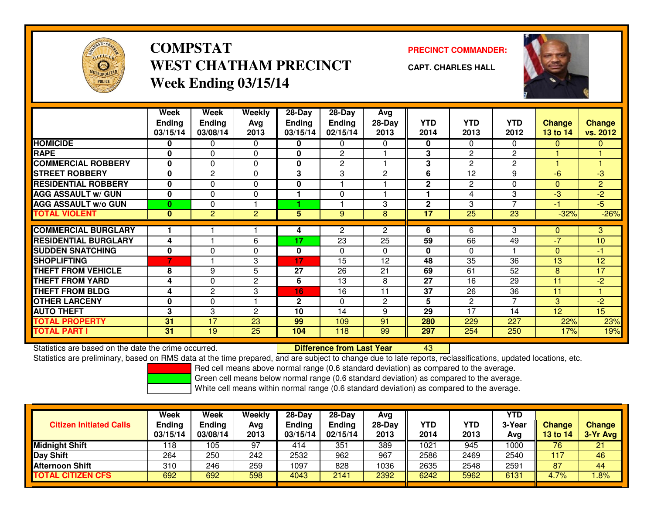

# **COMPSTATWEST CHATHAM PRECINCTWeek Ending 03/15/14**

### **PRECINCT COMMANDER:**

**CAPT. CHARLES HALL**



|                             | Week          | Week           | Weekly         | 28-Day         | $28$ -Day      | Avg                   |              |                 |                          |                 |                |
|-----------------------------|---------------|----------------|----------------|----------------|----------------|-----------------------|--------------|-----------------|--------------------------|-----------------|----------------|
|                             | <b>Ending</b> | <b>Ending</b>  | Avg            | <b>Ending</b>  | <b>Ending</b>  | 28-Day                | <b>YTD</b>   | <b>YTD</b>      | <b>YTD</b>               | <b>Change</b>   | <b>Change</b>  |
|                             | 03/15/14      | 03/08/14       | 2013           | 03/15/14       | 02/15/14       | 2013                  | 2014         | 2013            | 2012                     | 13 to 14        | vs. 2012       |
| <b>HOMICIDE</b>             | 0             | 0              | 0              | 0              | 0              | 0                     | 0            | $\Omega$        | 0                        | $\Omega$        | $\mathbf{0}$   |
| <b>RAPE</b>                 | 0             | $\Omega$       | $\Omega$       | 0              | $\overline{c}$ |                       | 3            | 2               | 2                        |                 |                |
| <b>COMMERCIAL ROBBERY</b>   | 0             | $\Omega$       | $\Omega$       | 0              | $\overline{2}$ |                       | 3            | $\overline{2}$  | 2                        |                 |                |
| <b>STREET ROBBERY</b>       | 0             | 2              | $\Omega$       | 3              | 3              | $\mathbf{2}$          | 6            | 12              | 9                        | $-6$            | -3             |
| <b>RESIDENTIAL ROBBERY</b>  | $\bf{0}$      | $\Omega$       | $\Omega$       | 0              |                |                       | $\mathbf{2}$ | 2               | $\Omega$                 | $\Omega$        | $\overline{2}$ |
| <b>AGG ASSAULT w/ GUN</b>   | $\bf{0}$      | $\Omega$       | 0              |                | $\Omega$       |                       |              | 4               | 3                        | $-3$            | $-2$           |
| <b>AGG ASSAULT w/o GUN</b>  | $\bf{0}$      | $\Omega$       |                | 4.             |                | 3                     | $\mathbf{2}$ | 3               | $\overline{\phantom{0}}$ | -1              | $-5$           |
| <b>TOTAL VIOLENT</b>        | $\mathbf{0}$  | $\overline{2}$ | $\overline{c}$ | $\overline{5}$ | 9              | 8                     | 17           | $\overline{25}$ | 23                       | $-32%$          | $-26%$         |
|                             |               |                |                |                |                |                       |              |                 |                          |                 |                |
| <b>COMMERCIAL BURGLARY</b>  |               |                |                | 4              | $\overline{2}$ | $\mathbf{2}^{\prime}$ | 6            | 6               | 3                        | $\mathbf{0}$    | 3.             |
| <b>RESIDENTIAL BURGLARY</b> | 4             |                | 6              | 17             | 23             | 25                    | 59           | 66              | 49                       | $-7$            | 10             |
| <b>SUDDEN SNATCHING</b>     | $\mathbf 0$   | $\Omega$       | $\Omega$       | 0              | $\Omega$       | $\Omega$              | $\bf{0}$     | $\Omega$        |                          | $\Omega$        | $-1$           |
| <b>SHOPLIFTING</b>          | 7             |                | 3              | 17             | 15             | 12                    | 48           | 35              | 36                       | 13              | 12             |
| <b>THEFT FROM VEHICLE</b>   | 8             | 9              | 5              | 27             | 26             | 21                    | 69           | 61              | 52                       | 8               | 17             |
| <b>THEFT FROM YARD</b>      | 4             | $\Omega$       | $\overline{c}$ | 6              | 13             | 8                     | 27           | 16              | 29                       | 11              | $-2$           |
| <b>THEFT FROM BLDG</b>      | 4             | 2              | 3              | 16             | 16             | 11                    | 37           | 26              | 36                       | 11              |                |
| <b>OTHER LARCENY</b>        | 0             | $\Omega$       |                | $\mathbf{2}$   | $\Omega$       | $\overline{2}$        | 5            | 2               | 7                        | 3               | $-2$           |
| <b>AUTO THEFT</b>           | 3             | 3              | 2              | 10             | 14             | 9                     | 29           | 17              | 14                       | 12 <sup>2</sup> | 15             |
| <b>TOTAL PROPERTY</b>       | 31            | 17             | 23             | 99             | 109            | 91                    | 280          | 229             | 227                      | 22%             | 23%            |
| <b>TOTAL PART I</b>         | 31            | 19             | 25             | 104            | 118            | 99                    | 297          | 254             | 250                      | 17%             | 19%            |

Statistics are based on the date the crime occurred. **Difference from Last Year** 

Statistics are based on the date the crime occurred.<br>Statistics are preliminary, based on RMS data at the time prepared, and are subject to change due to late reports, reclassifications, updated locations, etc.

Red cell means above normal range (0.6 standard deviation) as compared to the average.

Green cell means below normal range (0.6 standard deviation) as compared to the average.

| <b>Citizen Initiated Calls</b> | Week<br><b>Ending</b><br>03/15/14 | Week<br><b>Ending</b><br>03/08/14 | Weekly<br>Avg<br>2013 | $28-Day$<br><b>Ending</b><br>03/15/14 | $28-Day$<br><b>Ending</b><br>02/15/14 | Avg<br>28-Day<br>2013 | YTD<br>2014 | YTD<br>2013 | <b>YTD</b><br>3-Year<br>Avg | <b>Change</b><br>13 to 14 | <b>Change</b><br>3-Yr Avg |
|--------------------------------|-----------------------------------|-----------------------------------|-----------------------|---------------------------------------|---------------------------------------|-----------------------|-------------|-------------|-----------------------------|---------------------------|---------------------------|
| <b>Midnight Shift</b>          | 118                               | 105                               | 97                    | 414                                   | 351                                   | 389                   | 1021        | 945         | 1000                        | 76                        | 21                        |
| <b>Day Shift</b>               | 264                               | 250                               | 242                   | 2532                                  | 962                                   | 967                   | 2586        | 2469        | 2540                        | 117                       | 46                        |
| <b>Afternoon Shift</b>         | 310                               | 246                               | 259                   | 1097                                  | 828                                   | 1036                  | 2635        | 2548        | 2591                        | 87                        | 44                        |
| <b>TOTAL CITIZEN CFS</b>       | 692                               | 692                               | 598                   | 4043                                  | 2141                                  | 2392                  | 6242        | 5962        | 6131                        | 4.7%                      | .8%                       |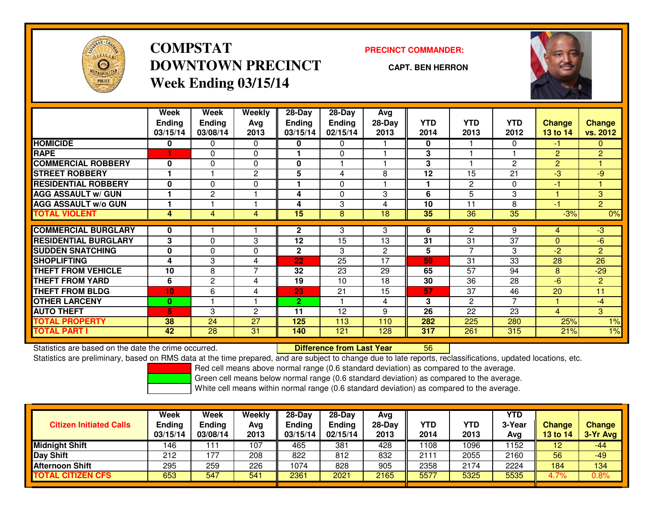

# **COMPSTATDOWNTOWN PRECINCTWeek Ending 03/15/14**

#### **PRECINCT COMMANDER:**

**CAPT. BEN HERRON**



|                             | Week                      | Week                      | <b>Weekly</b>  | 28-Day             | $28$ -Day                 | Avg            |                    |                    |                    |                           |                           |
|-----------------------------|---------------------------|---------------------------|----------------|--------------------|---------------------------|----------------|--------------------|--------------------|--------------------|---------------------------|---------------------------|
|                             | <b>Ending</b><br>03/15/14 | <b>Ending</b><br>03/08/14 | Avg<br>2013    | Ending<br>03/15/14 | <b>Ending</b><br>02/15/14 | 28-Day<br>2013 | <b>YTD</b><br>2014 | <b>YTD</b><br>2013 | <b>YTD</b><br>2012 | <b>Change</b><br>13 to 14 | <b>Change</b><br>vs. 2012 |
| <b>HOMICIDE</b>             | 0                         | 0                         | $\Omega$       | 0                  | $\Omega$                  |                | 0                  |                    | 0                  | $-1$                      | $\Omega$                  |
| <b>RAPE</b>                 |                           | $\Omega$                  | $\Omega$       |                    | $\Omega$                  |                | 3                  |                    |                    | $\overline{2}$            | $\overline{2}$            |
|                             |                           |                           |                |                    |                           |                |                    |                    |                    |                           |                           |
| <b>COMMERCIAL ROBBERY</b>   | $\bf{0}$                  | $\Omega$                  | 0              | 0                  |                           |                | 3                  |                    | $\overline{c}$     | $\overline{2}$            |                           |
| <b>STREET ROBBERY</b>       |                           |                           | 2              | 5                  | 4                         | 8              | 12                 | 15                 | 21                 | $-3$                      | -9                        |
| <b>RESIDENTIAL ROBBERY</b>  | $\mathbf{0}$              | 0                         | $\mathbf 0$    |                    | 0                         |                | ٠                  | $\overline{2}$     | 0                  | $-1$                      |                           |
| <b>AGG ASSAULT w/ GUN</b>   |                           | $\overline{2}$            |                | 4                  | $\Omega$                  | 3              | 6                  | 5                  | 3                  |                           | 3                         |
| <b>AGG ASSAULT w/o GUN</b>  |                           |                           |                | 4                  | 3                         | 4              | 10                 | 11                 | 8                  | -1                        | $\overline{2}$            |
| <b>TOTAL VIOLENT</b>        | 4                         | 4                         | 4              | 15                 | 8                         | 18             | 35                 | 36                 | 35                 | $-3%$                     | 0%                        |
|                             |                           |                           |                |                    |                           |                |                    |                    |                    |                           |                           |
| <b>COMMERCIAL BURGLARY</b>  | 0                         |                           |                | 2                  | 3                         | 3              | 6                  | $\overline{2}$     | 9                  | 4                         | -3                        |
| <b>RESIDENTIAL BURGLARY</b> | 3                         | $\Omega$                  | 3              | 12                 | 15                        | 13             | 31                 | 31                 | 37                 | $\Omega$                  | $-6$                      |
| <b>SUDDEN SNATCHING</b>     | $\mathbf{0}$              | $\Omega$                  | $\mathbf{0}$   | 2                  | 3                         | $\mathbf{2}$   | 5                  | $\overline{7}$     | 3                  | $-2$                      | $\overline{2}$            |
| <b>SHOPLIFTING</b>          | 4                         | 3                         | 4              | 22                 | 25                        | 17             | 59                 | 31                 | 33                 | 28                        | 26                        |
| <b>THEFT FROM VEHICLE</b>   | 10                        | 8                         | $\overline{7}$ | 32                 | 23                        | 29             | 65                 | 57                 | 94                 | 8                         | $-29$                     |
| <b>THEFT FROM YARD</b>      | 6                         | $\overline{2}$            | 4              | 19                 | 10                        | 18             | 30                 | 36                 | 28                 | $-6$                      | $\overline{2}$            |
| <b>THEFT FROM BLDG</b>      | 10                        | 6                         | 4              | 23                 | 21                        | 15             | 57                 | 37                 | 46                 | 20                        | 11                        |
| <b>OTHER LARCENY</b>        | $\bf{0}$                  |                           |                | 2.                 |                           | 4              | 3                  | 2                  | $\overline{ }$     |                           | $-4$                      |
| <b>AUTO THEFT</b>           | 5.                        | 3                         | $\overline{2}$ | 11                 | 12                        | 9              | 26                 | 22                 | 23                 | 4                         | 3                         |
| <b>TOTAL PROPERTY</b>       | 38                        | 24                        | 27             | 125                | 113                       | 110            | 282                | 225                | 280                | 25%                       | 1%                        |
| <b>TOTAL PART I</b>         | 42                        | 28                        | 31             | 140                | 121                       | 128            | 317                | 261                | 315                | 21%                       | $1\%$                     |

Statistics are based on the date the crime occurred. **Difference from Last Year** 

Statistics are based on the date the crime occurred.<br>Statistics are preliminary, based on RMS data at the time prepared, and are subject to change due to late reports, reclassifications, updated locations, etc.

Red cell means above normal range (0.6 standard deviation) as compared to the average.

Green cell means below normal range (0.6 standard deviation) as compared to the average.

| <b>Citizen Initiated Calls</b> | Week<br>Ending<br>03/15/14 | <b>Week</b><br><b>Ending</b><br>03/08/14 | Weekly<br>Avg<br>2013 | 28-Day<br>Ending<br>03/15/14 | $28-Dav$<br><b>Ending</b><br>02/15/14 | Avg<br>28-Day<br>2013 | YTD<br>2014 | YTD<br>2013 | <b>YTD</b><br>3-Year<br>Ava | <b>Change</b><br>13 to 14 | <b>Change</b><br>3-Yr Avg |
|--------------------------------|----------------------------|------------------------------------------|-----------------------|------------------------------|---------------------------------------|-----------------------|-------------|-------------|-----------------------------|---------------------------|---------------------------|
| <b>Midnight Shift</b>          | 146                        |                                          | 107                   | 465                          | 381                                   | 428                   | 108         | 1096        | 1152                        | 12                        | $-44$                     |
| <b>Day Shift</b>               | 212                        | 177                                      | 208                   | 822                          | 812                                   | 832                   | 2111        | 2055        | 2160                        | 56                        | $-49$                     |
| <b>Afternoon Shift</b>         | 295                        | 259                                      | 226                   | 1074                         | 828                                   | 905                   | 2358        | 2174        | 2224                        | 184                       | 134                       |
| <b>TOTAL CITIZEN CFS</b>       | 653                        | 547                                      | 541                   | 2361                         | 2021                                  | 2165                  | 5577        | 5325        | 5535                        | 4.7%                      | 0.8%                      |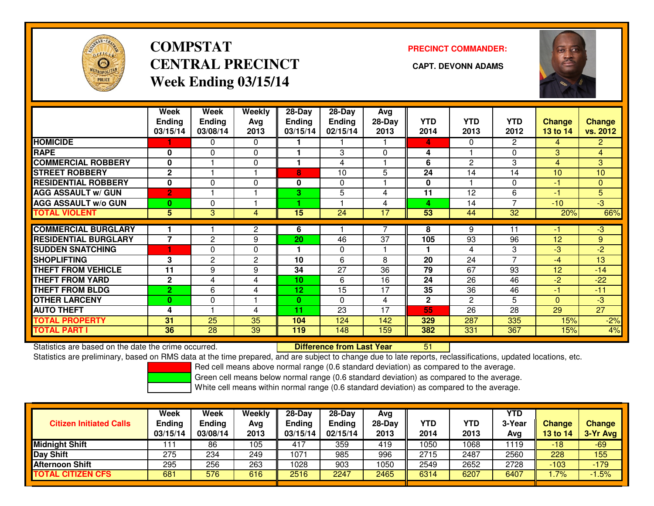

# **COMPSTATCENTRAL PRECINCT** CAPT. DEVONN ADAMS **Week Ending 03/15/14**

### **PRECINCT COMMANDER:**



|                             | Week<br><b>Ending</b><br>03/15/14 | Week<br><b>Ending</b><br>03/08/14 | Weekly<br>Ava<br>2013 | $28-Day$<br><b>Ending</b><br>03/15/14 | $28-Day$<br><b>Ending</b><br>02/15/14 | Avg<br>28-Day<br>2013 | <b>YTD</b><br>2014 | <b>YTD</b><br>2013 | YTD<br>2012    | Change<br>13 to 14 | <b>Change</b><br>vs. 2012 |
|-----------------------------|-----------------------------------|-----------------------------------|-----------------------|---------------------------------------|---------------------------------------|-----------------------|--------------------|--------------------|----------------|--------------------|---------------------------|
| <b>HOMICIDE</b>             |                                   | 0                                 | $\mathbf{0}$          |                                       |                                       |                       | 4                  | $\Omega$           | $\overline{2}$ | 4                  | $\overline{2}$            |
| <b>RAPE</b>                 | 0                                 | $\Omega$                          | 0                     |                                       | 3                                     | $\Omega$              | 4                  |                    | $\Omega$       | 3                  | $\overline{4}$            |
| <b>COMMERCIAL ROBBERY</b>   | 0                                 |                                   | 0                     |                                       | 4                                     |                       | 6                  | $\overline{2}$     | 3              | $\overline{4}$     | 3                         |
| <b>STREET ROBBERY</b>       | $\mathbf{2}$                      |                                   |                       | 8                                     | 10                                    | 5                     | 24                 | 14                 | 14             | 10                 | 10                        |
| <b>RESIDENTIAL ROBBERY</b>  | $\mathbf{0}$                      | $\Omega$                          | 0                     | $\mathbf{0}$                          | 0                                     |                       | $\mathbf{0}$       |                    | $\Omega$       | -1                 | 0                         |
| <b>AGG ASSAULT w/ GUN</b>   | $\overline{2}$                    |                                   |                       | 3                                     | 5                                     | 4                     | 11                 | 12                 | 6              | $-1$               | 5                         |
| <b>AGG ASSAULT w/o GUN</b>  | $\bf{0}$                          | $\Omega$                          |                       | 4.                                    |                                       | 4                     | 4                  | 14                 | $\overline{ }$ | $-10$              | $-3$                      |
| <b>TOTAL VIOLENT</b>        | 5                                 | 3                                 | 4                     | 15                                    | 24                                    | 17                    | 53                 | 44                 | 32             | 20%                | 66%                       |
| <b>COMMERCIAL BURGLARY</b>  |                                   |                                   | 2                     | 6                                     |                                       |                       | 8                  | 9                  | 11             | -1                 | $-3$                      |
| <b>RESIDENTIAL BURGLARY</b> | $\overline{7}$                    | $\overline{2}$                    | 9                     | 20                                    | 46                                    | 37                    |                    | 93                 | 96             | 12                 | 9                         |
|                             |                                   |                                   |                       |                                       |                                       |                       | 105                |                    |                |                    |                           |
| <b>SUDDEN SNATCHING</b>     |                                   | $\Omega$                          | $\Omega$              |                                       | $\Omega$                              |                       |                    | 4                  | 3              | $-3$               | $-2$                      |
| <b>SHOPLIFTING</b>          | 3                                 | $\overline{2}$                    | $\overline{2}$        | 10                                    | 6                                     | 8                     | 20                 | 24                 | $\overline{7}$ | $-4$               | 13                        |
| <b>THEFT FROM VEHICLE</b>   | 11                                | 9                                 | 9                     | 34                                    | 27                                    | 36                    | 79                 | 67                 | 93             | 12                 | $-14$                     |
| <b>THEFT FROM YARD</b>      | $\mathbf 2$                       | 4                                 | 4                     | 10                                    | 6                                     | 16                    | 24                 | 26                 | 46             | $-2$               | $-22$                     |
| <b>THEFT FROM BLDG</b>      | $\overline{2}$                    | 6                                 | 4                     | 12                                    | 15                                    | 17                    | 35                 | 36                 | 46             | $-1$               | $-11$                     |
| <b>OTHER LARCENY</b>        | $\bf{0}$                          | $\Omega$                          | ۰                     | $\bf{0}$                              | $\Omega$                              | 4                     | $\mathbf{2}$       | $\mathbf{2}$       | 5              | $\mathbf{0}$       | $-3$                      |
| <b>AUTO THEFT</b>           | 4                                 |                                   | 4                     | 11                                    | 23                                    | 17                    | 55                 | 26                 | 28             | 29                 | 27                        |
| <b>TOTAL PROPERTY</b>       | 31                                | 25                                | 35                    | 104                                   | 124                                   | 142                   | 329                | 287                | 335            | 15%                | $-2%$                     |
| <b>TOTAL PART I</b>         | 36                                | $\overline{28}$                   | 39                    | 119                                   | 148                                   | 159                   | 382                | 331                | 367            | 15%                | 4%                        |

Statistics are based on the date the crime occurred. **Difference from Last Year** 

Statistics are based on the date the crime occurred. **Extence to the Unifference from Last Year the Statistics**<br>Statistics are preliminary, based on RMS data at the time prepared, and are subject to change due to late repo

Red cell means above normal range (0.6 standard deviation) as compared to the average.

Green cell means below normal range (0.6 standard deviation) as compared to the average.

| <b>Citizen Initiated Calls</b> | Week<br><b>Ending</b><br>03/15/14 | <b>Week</b><br><b>Ending</b><br>03/08/14 | Weekly<br>Avg<br>2013 | $28 - Day$<br>Ending<br>03/15/14 | $28 - Day$<br><b>Ending</b><br>02/15/14 | Avg<br>28-Day<br>2013 | YTD<br>2014 | YTD<br>2013 | <b>YTD</b><br>3-Year<br>Ava | <b>Change</b><br>13 to 14 | <b>Change</b><br>3-Yr Avg |
|--------------------------------|-----------------------------------|------------------------------------------|-----------------------|----------------------------------|-----------------------------------------|-----------------------|-------------|-------------|-----------------------------|---------------------------|---------------------------|
| <b>Midnight Shift</b>          |                                   | 86                                       | 105                   | 417                              | 359                                     | 419                   | 1050        | 068         | 1119                        | -18                       | $-69$                     |
| <b>Day Shift</b>               | 275                               | 234                                      | 249                   | 1071                             | 985                                     | 996                   | 2715        | 2487        | 2560                        | 228                       | 155                       |
| <b>Afternoon Shift</b>         | 295                               | 256                                      | 263                   | 1028                             | 903                                     | 1050                  | 2549        | 2652        | 2728                        | $-103$                    | $-179$                    |
| <b>TOTAL CITIZEN CFS</b>       | 681                               | 576                                      | 616                   | 2516                             | 2247                                    | 2465                  | 6314        | 6207        | 6407                        | 1.7%                      | 1.5%                      |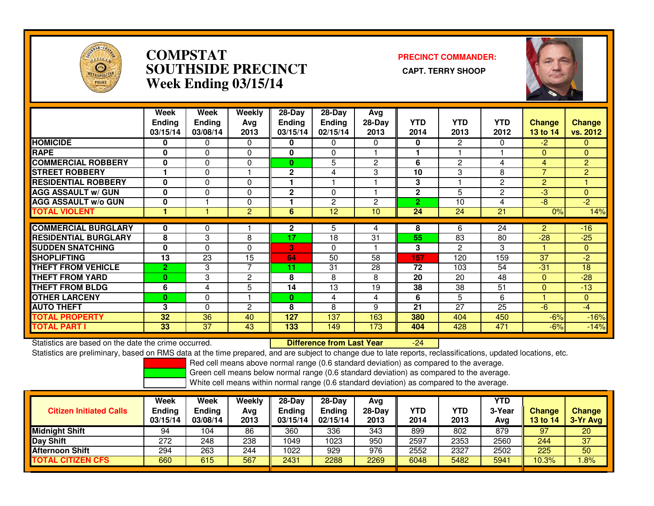

### **COMPSTAT PRECINCT COMMANDER: SOUTHSIDE PRECINCT CAPT. TERRY SHOOPWeek Ending 03/15/14**



|                             | Week<br><b>Ending</b><br>03/15/14 | Week<br><b>Ending</b><br>03/08/14 | Weekly<br>Ava<br>2013 | $28$ -Day<br>Ending<br>03/15/14 | 28-Day<br><b>Ending</b><br>02/15/14 | Avg<br>$28-Day$<br>2013 | <b>YTD</b><br>2014 | <b>YTD</b><br>2013 | <b>YTD</b><br>2012 | <b>Change</b><br>13 to 14 | Change<br>vs. 2012 |
|-----------------------------|-----------------------------------|-----------------------------------|-----------------------|---------------------------------|-------------------------------------|-------------------------|--------------------|--------------------|--------------------|---------------------------|--------------------|
| <b>HOMICIDE</b>             | 0                                 | 0                                 | 0                     | 0                               | 0                                   | $\Omega$                | $\bf{0}$           | 2                  | 0                  | $-2$                      | $\mathbf{0}$       |
| <b>RAPE</b>                 | $\bf{0}$                          | $\Omega$                          | 0                     | 0                               | $\Omega$                            |                         |                    |                    |                    | $\mathbf{0}$              | $\mathbf{0}$       |
| <b>COMMERCIAL ROBBERY</b>   | $\bf{0}$                          | $\Omega$                          | 0                     | $\mathbf{0}$                    | 5                                   | $\overline{c}$          | 6                  | $\overline{2}$     | 4                  | $\overline{4}$            | $\overline{2}$     |
| <b>STREET ROBBERY</b>       |                                   | $\Omega$                          |                       | $\mathbf 2$                     | 4                                   | 3                       | 10                 | 3                  | 8                  | $\overline{7}$            | $\overline{2}$     |
| <b>RESIDENTIAL ROBBERY</b>  | $\bf{0}$                          | $\Omega$                          | $\Omega$              |                                 |                                     |                         | 3                  |                    | $\overline{2}$     | 2                         |                    |
| <b>AGG ASSAULT w/ GUN</b>   | 0                                 | $\Omega$                          | 0                     | $\mathbf{2}$                    | $\Omega$                            |                         | $\mathbf{2}$       | 5                  | $\overline{2}$     | -3                        | $\Omega$           |
| <b>AGG ASSAULT w/o GUN</b>  | $\bf{0}$                          |                                   | 0                     |                                 | 2                                   | $\overline{c}$          | $\overline{2}$     | 10                 | 4                  | $-8$                      | $-2$               |
| <b>TOTAL VIOLENT</b>        |                                   |                                   | $\overline{2}$        | 6                               | 12                                  | 10                      | 24                 | 24                 | 21                 | 0%                        | 14%                |
|                             |                                   |                                   |                       |                                 |                                     |                         |                    |                    |                    |                           |                    |
| <b>COMMERCIAL BURGLARY</b>  | 0                                 | $\Omega$                          |                       | $\mathbf{2}$                    | 5                                   | 4                       | 8                  | 6                  | 24                 | 2                         | $-16$              |
| <b>RESIDENTIAL BURGLARY</b> | 8                                 | 3                                 | 8                     | 17                              | 18                                  | 31                      | 55                 | 83                 | 80                 | $-28$                     | $-25$              |
| <b>SUDDEN SNATCHING</b>     | 0                                 | $\Omega$                          | 0                     | 3                               | $\Omega$                            |                         | 3                  | 2                  | 3                  |                           | $\mathbf{0}$       |
| <b>SHOPLIFTING</b>          | 13                                | 23                                | 15                    | 64                              | 50                                  | 58                      | 157                | 120                | 159                | 37                        | $-2$               |
| <b>THEFT FROM VEHICLE</b>   | $\overline{2}$                    | 3                                 | 7                     | 11                              | 31                                  | 28                      | 72                 | 103                | 54                 | $-31$                     | 18                 |
| <b>THEFT FROM YARD</b>      | $\bf{0}$                          | 3                                 | 2                     | 8                               | 8                                   | 8                       | 20                 | 20                 | 48                 | $\mathbf{0}$              | $-28$              |
| <b>THEFT FROM BLDG</b>      | 6                                 | 4                                 | 5                     | 14                              | 13                                  | 19                      | 38                 | 38                 | 51                 | $\Omega$                  | $-13$              |
| <b>OTHER LARCENY</b>        | 0                                 | 0                                 |                       | $\mathbf{0}$                    | 4                                   | 4                       | 6                  | 5                  | 6                  |                           | $\mathbf{0}$       |
| <b>AUTO THEFT</b>           | 3                                 | 0                                 | $\overline{2}$        | 8                               | 8                                   | 9                       | 21                 | 27                 | 25                 | $-6$                      | $-4$               |
| <b>TOTAL PROPERTY</b>       | 32                                | 36                                | 40                    | 127                             | 137                                 | 163                     | 380                | 404                | 450                | $-6%$                     | $-16%$             |
| <b>TOTAL PART I</b>         | 33                                | 37                                | 43                    | 133                             | 149                                 | 173                     | 404                | 428                | 471                | $-6%$                     | $-14%$             |

Statistics are based on the date the crime occurred. **Difference from Last Year** Statistics are based on the date the crime occurred. **Externee the Difference from Last Year Theoren 24 Externe**<br>Statistics are preliminary, based on RMS data at the time prepared, and are subject to change due to late rep

Red cell means above normal range (0.6 standard deviation) as compared to the average.

Green cell means below normal range (0.6 standard deviation) as compared to the average.

| <b>Citizen Initiated Calls</b> | Week<br><b>Ending</b><br>03/15/14 | <b>Week</b><br><b>Ending</b><br>03/08/14 | Weekly<br>Avg<br>2013 | $28-Dav$<br>Ending<br>03/15/14 | $28-Dav$<br><b>Ending</b><br>02/15/14 | Avg<br>$28-Day$<br>2013 | <b>YTD</b><br>2014 | <b>YTD</b><br>2013 | <b>YTD</b><br>3-Year<br>Avg | <b>Change</b><br>13 to 14 | <b>Change</b><br>3-Yr Avg |
|--------------------------------|-----------------------------------|------------------------------------------|-----------------------|--------------------------------|---------------------------------------|-------------------------|--------------------|--------------------|-----------------------------|---------------------------|---------------------------|
| <b>Midnight Shift</b>          | 94                                | 104                                      | 86                    | 360                            | 336                                   | 343                     | 899                | 802                | 879                         | 97                        | 20                        |
| <b>Day Shift</b>               | 272                               | 248                                      | 238                   | 1049                           | 023                                   | 950                     | 2597               | 2353               | 2560                        | 244                       | 37                        |
| <b>Afternoon Shift</b>         | 294                               | 263                                      | 244                   | 1022                           | 929                                   | 976                     | 2552               | 2327               | 2502                        | 225                       | 50                        |
| <b>TOTAL CITIZEN CFS</b>       | 660                               | 615                                      | 567                   | 2431                           | 2288                                  | 2269                    | 6048               | 5482               | 5941                        | 10.3%                     | .8%                       |